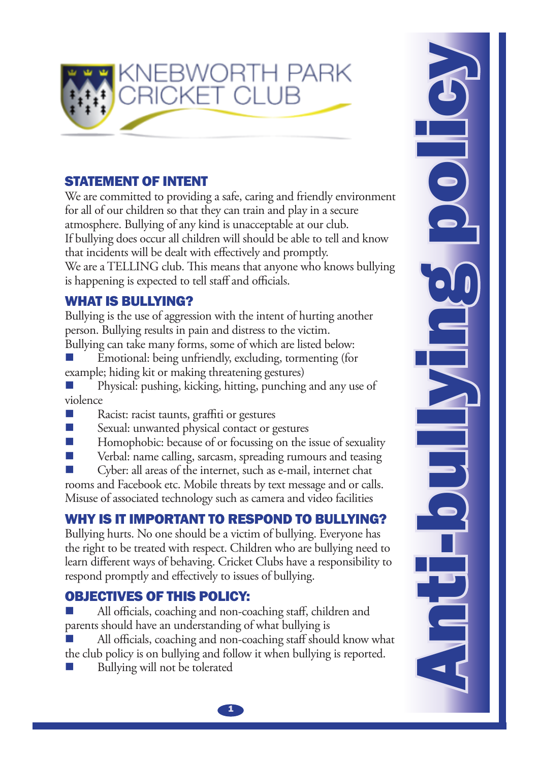

## STATEMENT OF INTENT

We are committed to providing a safe, caring and friendly environment for all of our children so that they can train and play in a secure atmosphere. Bullying of any kind is unacceptable at our club. If bullying does occur all children will should be able to tell and know that incidents will be dealt with effectively and promptly. We are a TELLING club. This means that anyone who knows bullying is happening is expected to tell staff and officials.

### WHAT IS BULLYING?

Bullying is the use of aggression with the intent of hurting another person. Bullying results in pain and distress to the victim. Bullying can take many forms, some of which are listed below:

Emotional: being unfriendly, excluding, tormenting (for example; hiding kit or making threatening gestures)  $\mathbb{R}^3$ 

Physical: pushing, kicking, hitting, punching and any use of violence  $\mathbb{R}^3$ 

- Racist: racist taunts, graffiti or gestures  $\sim$
- Sexual: unwanted physical contact or gestures  $\mathcal{C}^{\mathcal{A}}$
- Homophobic: because of or focussing on the issue of sexuality  $\mathcal{C}^{\mathcal{A}}$

Verbal: name calling, sarcasm, spreading rumours and teasing  $\mathbb{R}^3$ 

Cyber: all areas of the internet, such as e-mail, internet chat  $\mathbb{R}^3$ 

rooms and Facebook etc. Mobile threats by text message and or calls. Misuse of associated technology such as camera and video facilities

# Why is it important to respond to bullying?

Bullying hurts. No one should be a victim of bullying. Everyone has the right to be treated with respect. Children who are bullying need to learn different ways of behaving. Cricket Clubs have a responsibility to respond promptly and effectively to issues of bullying.

# OBJECTIVES OF THIS POLICY:

All officials, coaching and non-coaching staff, children and parents should have an understanding of what bullying is  $\mathbb{R}^3$ 

All officials, coaching and non-coaching staff should know what the club policy is on bullying and follow it when bullying is reported.  $\mathbb{R}^3$ 

Bullying will not be tolerated  $\mathbb{R}^3$ 

**Anti-bullying policy**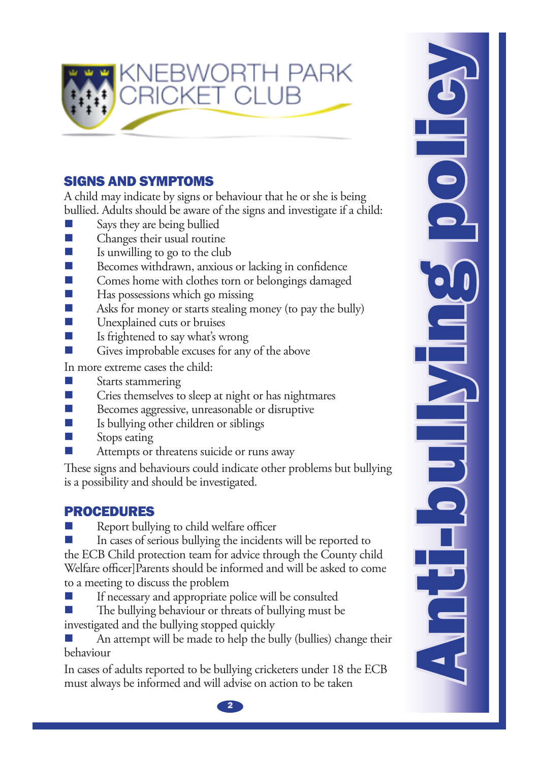

## Signs and symptoms

A child may indicate by signs or behaviour that he or she is being bullied. Adults should be aware of the signs and investigate if a child:

- Says they are being bullied  $\mathcal{C}^{\mathcal{A}}$
- Changes their usual routine  $\mathcal{C}^{\mathcal{A}}$
- Is unwilling to go to the club  $\mathcal{C}_{\mathcal{A}}$
- Becomes withdrawn, anxious or lacking in confidence  $\sim$
- Comes home with clothes torn or belongings damaged  $\mathbb{R}^n$
- Has possessions which go missing  $\mathcal{C}^{\mathcal{A}}$
- Asks for money or starts stealing money (to pay the bully)  $\sim$
- Unexplained cuts or bruises  $\mathcal{C}^{\mathcal{A}}$
- Is frightened to say what's wrong  $\mathcal{C}^{\mathcal{A}}$
- Gives improbable excuses for any of the above  $\mathcal{C}^{\mathcal{A}}$

In more extreme cases the child:

- Starts stammering  $\mathcal{C}^{\mathcal{A}}$
- Cries themselves to sleep at night or has nightmares  $\mathcal{C}^{\mathcal{A}}$
- Becomes aggressive, unreasonable or disruptive  $\mathbb{R}^3$
- Is bullying other children or siblings  $\mathcal{C}^{\mathcal{A}}$
- Stops eating  $\mathbb{R}^3$
- Attempts or threatens suicide or runs away  $\mathbb{R}^3$

These signs and behaviours could indicate other problems but bullying is a possibility and should be investigated.

## **PROCEDURES**

Report bullying to child welfare officer  $\mathbb{R}^3$ 

In cases of serious bullying the incidents will be reported to the ECB Child protection team for advice through the County child Welfare officer]Parents should be informed and will be asked to come to a meeting to discuss the problem  $\mathbb{R}^3$ 

If necessary and appropriate police will be consulted  $\sim$ 

The bullying behaviour or threats of bullying must be investigated and the bullying stopped quickly  $\mathbb{R}^3$ 

An attempt will be made to help the bully (bullies) change their behaviour  $\mathbb{R}^3$ 

In cases of adults reported to be bullying cricketers under 18 the ECB must always be informed and will advise on action to be taken

**Anti-bullying policy** e